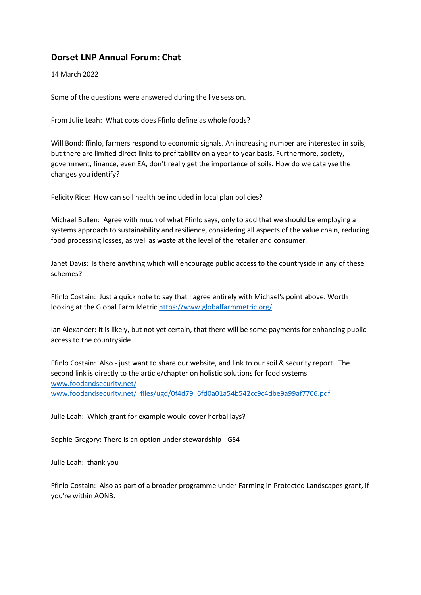## **Dorset LNP Annual Forum: Chat**

14 March 2022

Some of the questions were answered during the live session.

From Julie Leah: What cops does Ffinlo define as whole foods?

Will Bond: ffinlo, farmers respond to economic signals. An increasing number are interested in soils, but there are limited direct links to profitability on a year to year basis. Furthermore, society, government, finance, even EA, don't really get the importance of soils. How do we catalyse the changes you identify?

Felicity Rice: How can soil health be included in local plan policies?

Michael Bullen: Agree with much of what Ffinlo says, only to add that we should be employing a systems approach to sustainability and resilience, considering all aspects of the value chain, reducing food processing losses, as well as waste at the level of the retailer and consumer.

Janet Davis: Is there anything which will encourage public access to the countryside in any of these schemes?

Ffinlo Costain: Just a quick note to say that I agree entirely with Michael's point above. Worth looking at the Global Farm Metric<https://www.globalfarmmetric.org/>

Ian Alexander: It is likely, but not yet certain, that there will be some payments for enhancing public access to the countryside.

Ffinlo Costain: Also - just want to share our website, and link to our soil & security report. The second link is directly to the article/chapter on holistic solutions for food systems. [www.foodandsecurity.net/](http://www.foodandsecurity.net/) [www.foodandsecurity.net/\\_files/ugd/0f4d79\\_6fd0a01a54b542cc9c4dbe9a99af7706.pdf](http://www.foodandsecurity.net/_files/ugd/0f4d79_6fd0a01a54b542cc9c4dbe9a99af7706.pdf)

Julie Leah: Which grant for example would cover herbal lays?

Sophie Gregory: There is an option under stewardship - GS4

Julie Leah: thank you

Ffinlo Costain: Also as part of a broader programme under Farming in Protected Landscapes grant, if you're within AONB.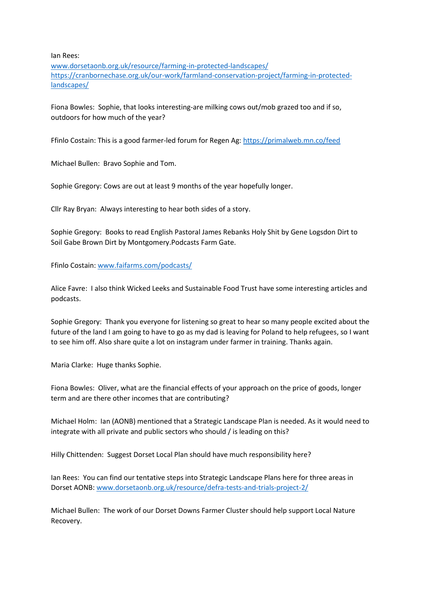Ian Rees:

[www.dorsetaonb.org.uk/resource/farming-in-protected-landscapes/](http://www.dorsetaonb.org.uk/resource/farming-in-protected-landscapes/) [https://cranbornechase.org.uk/our-work/farmland-conservation-project/farming-in-protected](https://cranbornechase.org.uk/our-work/farmland-conservation-project/farming-in-protected-landscapes/)[landscapes/](https://cranbornechase.org.uk/our-work/farmland-conservation-project/farming-in-protected-landscapes/)

Fiona Bowles: Sophie, that looks interesting-are milking cows out/mob grazed too and if so, outdoors for how much of the year?

Ffinlo Costain: This is a good farmer-led forum for Regen Ag:<https://primalweb.mn.co/feed>

Michael Bullen: Bravo Sophie and Tom.

Sophie Gregory: Cows are out at least 9 months of the year hopefully longer.

Cllr Ray Bryan: Always interesting to hear both sides of a story.

Sophie Gregory: Books to read English Pastoral James Rebanks Holy Shit by Gene Logsdon Dirt to Soil Gabe Brown Dirt by Montgomery.Podcasts Farm Gate.

Ffinlo Costain: [www.faifarms.com/podcasts/](http://www.faifarms.com/podcasts/)

Alice Favre: I also think Wicked Leeks and Sustainable Food Trust have some interesting articles and podcasts.

Sophie Gregory: Thank you everyone for listening so great to hear so many people excited about the future of the land I am going to have to go as my dad is leaving for Poland to help refugees, so I want to see him off. Also share quite a lot on instagram under farmer in training. Thanks again.

Maria Clarke: Huge thanks Sophie.

Fiona Bowles: Oliver, what are the financial effects of your approach on the price of goods, longer term and are there other incomes that are contributing?

Michael Holm: Ian (AONB) mentioned that a Strategic Landscape Plan is needed. As it would need to integrate with all private and public sectors who should / is leading on this?

Hilly Chittenden: Suggest Dorset Local Plan should have much responsibility here?

Ian Rees: You can find our tentative steps into Strategic Landscape Plans here for three areas in Dorset AONB[: www.dorsetaonb.org.uk/resource/defra-tests-and-trials-project-2/](http://www.dorsetaonb.org.uk/resource/defra-tests-and-trials-project-2/)

Michael Bullen: The work of our Dorset Downs Farmer Cluster should help support Local Nature Recovery.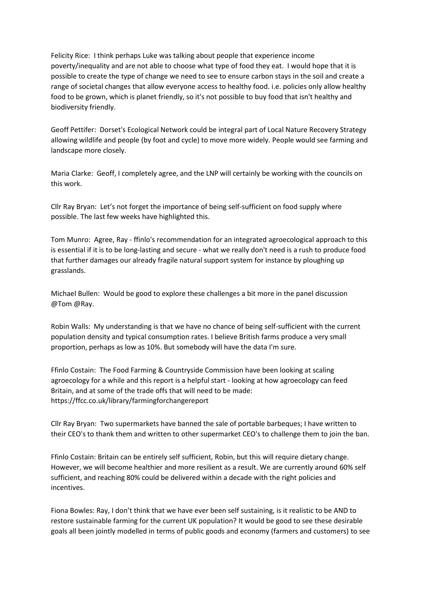Felicity Rice: I think perhaps Luke was talking about people that experience income poverty/inequality and are not able to choose what type of food they eat. I would hope that it is possible to create the type of change we need to see to ensure carbon stays in the soil and create a range of societal changes that allow everyone access to healthy food. i.e. policies only allow healthy food to be grown, which is planet friendly, so it's not possible to buy food that isn't healthy and biodiversity friendly.

Geoff Pettifer: Dorset's Ecological Network could be integral part of Local Nature Recovery Strategy allowing wildlife and people (by foot and cycle) to move more widely. People would see farming and landscape more closely.

Maria Clarke: Geoff, I completely agree, and the LNP will certainly be working with the councils on this work.

Cllr Ray Bryan: Let's not forget the importance of being self-sufficient on food supply where possible. The last few weeks have highlighted this.

Tom Munro: Agree, Ray - ffinlo's recommendation for an integrated agroecological approach to this is essential if it is to be long-lasting and secure - what we really don't need is a rush to produce food that further damages our already fragile natural support system for instance by ploughing up grasslands.

Michael Bullen: Would be good to explore these challenges a bit more in the panel discussion @Tom @Ray.

Robin Walls: My understanding is that we have no chance of being self-sufficient with the current population density and typical consumption rates. I believe British farms produce a very small proportion, perhaps as low as 10%. But somebody will have the data I'm sure.

Ffinlo Costain: The Food Farming & Countryside Commission have been looking at scaling agroecology for a while and this report is a helpful start - looking at how agroecology can feed Britain, and at some of the trade offs that will need to be made: https://ffcc.co.uk/library/farmingforchangereport

Cllr Ray Bryan: Two supermarkets have banned the sale of portable barbeques; I have written to their CEO's to thank them and written to other supermarket CEO's to challenge them to join the ban.

Ffinlo Costain: Britain can be entirely self sufficient, Robin, but this will require dietary change. However, we will become healthier and more resilient as a result. We are currently around 60% self sufficient, and reaching 80% could be delivered within a decade with the right policies and incentives.

Fiona Bowles: Ray, I don't think that we have ever been self sustaining, is it realistic to be AND to restore sustainable farming for the current UK population? It would be good to see these desirable goals all been jointly modelled in terms of public goods and economy (farmers and customers) to see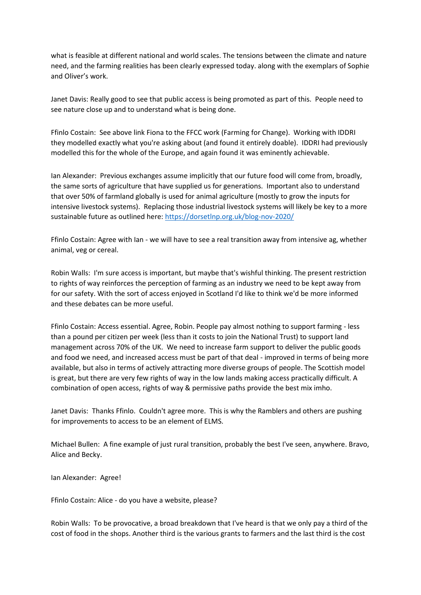what is feasible at different national and world scales. The tensions between the climate and nature need, and the farming realities has been clearly expressed today. along with the exemplars of Sophie and Oliver's work.

Janet Davis: Really good to see that public access is being promoted as part of this. People need to see nature close up and to understand what is being done.

Ffinlo Costain: See above link Fiona to the FFCC work (Farming for Change). Working with IDDRI they modelled exactly what you're asking about (and found it entirely doable). IDDRI had previously modelled this for the whole of the Europe, and again found it was eminently achievable.

Ian Alexander: Previous exchanges assume implicitly that our future food will come from, broadly, the same sorts of agriculture that have supplied us for generations. Important also to understand that over 50% of farmland globally is used for animal agriculture (mostly to grow the inputs for intensive livestock systems). Replacing those industrial livestock systems will likely be key to a more sustainable future as outlined here:<https://dorsetlnp.org.uk/blog-nov-2020/>

Ffinlo Costain: Agree with Ian - we will have to see a real transition away from intensive ag, whether animal, veg or cereal.

Robin Walls: I'm sure access is important, but maybe that's wishful thinking. The present restriction to rights of way reinforces the perception of farming as an industry we need to be kept away from for our safety. With the sort of access enjoyed in Scotland I'd like to think we'd be more informed and these debates can be more useful.

Ffinlo Costain: Access essential. Agree, Robin. People pay almost nothing to support farming - less than a pound per citizen per week (less than it costs to join the National Trust) to support land management across 70% of the UK. We need to increase farm support to deliver the public goods and food we need, and increased access must be part of that deal - improved in terms of being more available, but also in terms of actively attracting more diverse groups of people. The Scottish model is great, but there are very few rights of way in the low lands making access practically difficult. A combination of open access, rights of way & permissive paths provide the best mix imho.

Janet Davis: Thanks Ffinlo. Couldn't agree more. This is why the Ramblers and others are pushing for improvements to access to be an element of ELMS.

Michael Bullen: A fine example of just rural transition, probably the best I've seen, anywhere. Bravo, Alice and Becky.

Ian Alexander: Agree!

Ffinlo Costain: Alice - do you have a website, please?

Robin Walls: To be provocative, a broad breakdown that I've heard is that we only pay a third of the cost of food in the shops. Another third is the various grants to farmers and the last third is the cost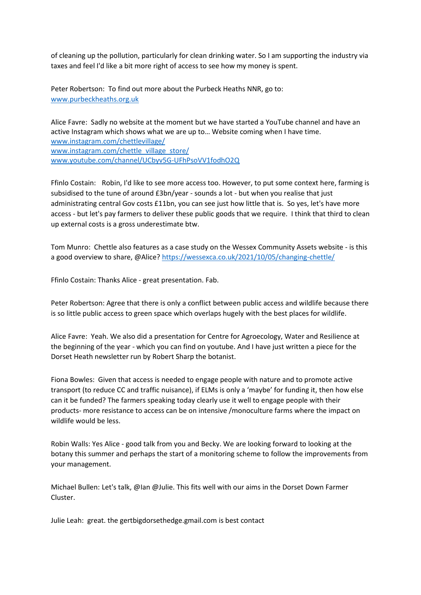of cleaning up the pollution, particularly for clean drinking water. So I am supporting the industry via taxes and feel I'd like a bit more right of access to see how my money is spent.

Peter Robertson: To find out more about the Purbeck Heaths NNR, go to: [www.purbeckheaths.org.uk](http://www.purbeckheaths.org.uk/)

Alice Favre: Sadly no website at the moment but we have started a YouTube channel and have an active Instagram which shows what we are up to… Website coming when I have time. [www.instagram.com/chettlevillage/](http://www.instagram.com/chettlevillage/) [www.instagram.com/chettle\\_village\\_store/](http://www.instagram.com/chettle_village_store/) [www.youtube.com/channel/UCbyv5G-UFhPsoVV1fodhO2Q](http://www.youtube.com/channel/UCbyv5G-UFhPsoVV1fodhO2Q)

Ffinlo Costain: Robin, I'd like to see more access too. However, to put some context here, farming is subsidised to the tune of around £3bn/year - sounds a lot - but when you realise that just administrating central Gov costs £11bn, you can see just how little that is. So yes, let's have more access - but let's pay farmers to deliver these public goods that we require. I think that third to clean up external costs is a gross underestimate btw.

Tom Munro: Chettle also features as a case study on the Wessex Community Assets website - is this a good overview to share, @Alice?<https://wessexca.co.uk/2021/10/05/changing-chettle/>

Ffinlo Costain: Thanks Alice - great presentation. Fab.

Peter Robertson: Agree that there is only a conflict between public access and wildlife because there is so little public access to green space which overlaps hugely with the best places for wildlife.

Alice Favre: Yeah. We also did a presentation for Centre for Agroecology, Water and Resilience at the beginning of the year - which you can find on youtube. And I have just written a piece for the Dorset Heath newsletter run by Robert Sharp the botanist.

Fiona Bowles: Given that access is needed to engage people with nature and to promote active transport (to reduce CC and traffic nuisance), if ELMs is only a 'maybe' for funding it, then how else can it be funded? The farmers speaking today clearly use it well to engage people with their products- more resistance to access can be on intensive /monoculture farms where the impact on wildlife would be less.

Robin Walls: Yes Alice - good talk from you and Becky. We are looking forward to looking at the botany this summer and perhaps the start of a monitoring scheme to follow the improvements from your management.

Michael Bullen: Let's talk, @Ian @Julie. This fits well with our aims in the Dorset Down Farmer Cluster.

Julie Leah: great. the gertbigdorsethedge.gmail.com is best contact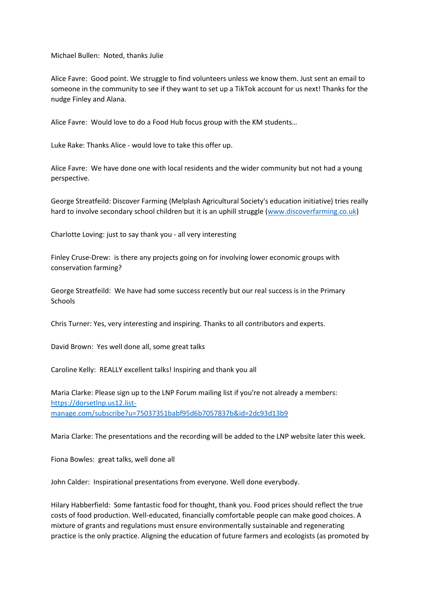Michael Bullen: Noted, thanks Julie

Alice Favre: Good point. We struggle to find volunteers unless we know them. Just sent an email to someone in the community to see if they want to set up a TikTok account for us next! Thanks for the nudge Finley and Alana.

Alice Favre: Would love to do a Food Hub focus group with the KM students…

Luke Rake: Thanks Alice - would love to take this offer up.

Alice Favre: We have done one with local residents and the wider community but not had a young perspective.

George Streatfeild: Discover Farming (Melplash Agricultural Society's education initiative) tries really hard to involve secondary school children but it is an uphill struggle [\(www.discoverfarming.co.uk\)](http://www.discoverfarming.co.uk/)

Charlotte Loving: just to say thank you - all very interesting

Finley Cruse-Drew: is there any projects going on for involving lower economic groups with conservation farming?

George Streatfeild: We have had some success recently but our real success is in the Primary **Schools** 

Chris Turner: Yes, very interesting and inspiring. Thanks to all contributors and experts.

David Brown: Yes well done all, some great talks

Caroline Kelly: REALLY excellent talks! Inspiring and thank you all

Maria Clarke: Please sign up to the LNP Forum mailing list if you're not already a members: [https://dorsetlnp.us12.list](https://dorsetlnp.us12.list-manage.com/subscribe?u=75037351babf95d6b7057837b&id=2dc93d13b9)[manage.com/subscribe?u=75037351babf95d6b7057837b&id=2dc93d13b9](https://dorsetlnp.us12.list-manage.com/subscribe?u=75037351babf95d6b7057837b&id=2dc93d13b9)

Maria Clarke: The presentations and the recording will be added to the LNP website later this week.

Fiona Bowles: great talks, well done all

John Calder: Inspirational presentations from everyone. Well done everybody.

Hilary Habberfield: Some fantastic food for thought, thank you. Food prices should reflect the true costs of food production. Well-educated, financially comfortable people can make good choices. A mixture of grants and regulations must ensure environmentally sustainable and regenerating practice is the only practice. Aligning the education of future farmers and ecologists (as promoted by